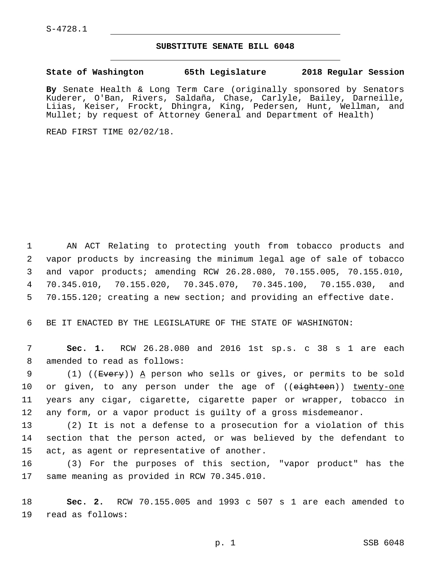## **SUBSTITUTE SENATE BILL 6048**

**State of Washington 65th Legislature 2018 Regular Session**

**By** Senate Health & Long Term Care (originally sponsored by Senators Kuderer, O'Ban, Rivers, Saldaña, Chase, Carlyle, Bailey, Darneille, Liias, Keiser, Frockt, Dhingra, King, Pedersen, Hunt, Wellman, and Mullet; by request of Attorney General and Department of Health)

READ FIRST TIME 02/02/18.

 AN ACT Relating to protecting youth from tobacco products and vapor products by increasing the minimum legal age of sale of tobacco and vapor products; amending RCW 26.28.080, 70.155.005, 70.155.010, 70.345.010, 70.155.020, 70.345.070, 70.345.100, 70.155.030, and 70.155.120; creating a new section; and providing an effective date.

6 BE IT ENACTED BY THE LEGISLATURE OF THE STATE OF WASHINGTON:

7 **Sec. 1.** RCW 26.28.080 and 2016 1st sp.s. c 38 s 1 are each 8 amended to read as follows:

9 (1) ((Every)) A person who sells or gives, or permits to be sold 10 or given, to any person under the age of ((eighteen)) twenty-one 11 years any cigar, cigarette, cigarette paper or wrapper, tobacco in 12 any form, or a vapor product is guilty of a gross misdemeanor.

13 (2) It is not a defense to a prosecution for a violation of this 14 section that the person acted, or was believed by the defendant to 15 act, as agent or representative of another.

16 (3) For the purposes of this section, "vapor product" has the 17 same meaning as provided in RCW 70.345.010.

18 **Sec. 2.** RCW 70.155.005 and 1993 c 507 s 1 are each amended to 19 read as follows: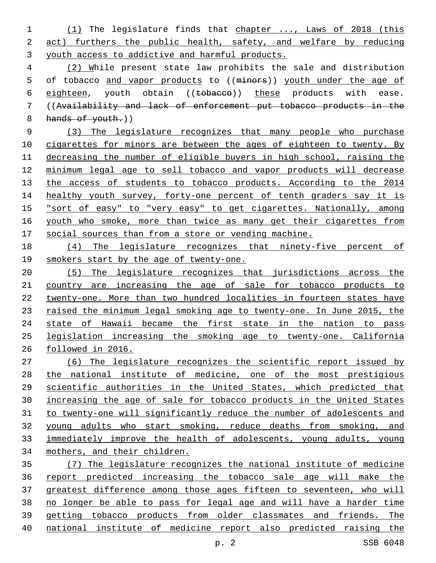(1) The legislature finds that chapter ..., Laws of 2018 (this act) furthers the public health, safety, and welfare by reducing youth access to addictive and harmful products.

 (2) While present state law prohibits the sale and distribution 5 of tobacco and vapor products to ((minors)) youth under the age of 6 eighteen, youth obtain ((tobacco)) these products with ease. ((Availability and lack of enforcement put tobacco products in the 8 hands of youth.)

 (3) The legislature recognizes that many people who purchase 10 cigarettes for minors are between the ages of eighteen to twenty. By decreasing the number of eligible buyers in high school, raising the minimum legal age to sell tobacco and vapor products will decrease 13 the access of students to tobacco products. According to the 2014 14 healthy youth survey, forty-one percent of tenth graders say it is "sort of easy" to "very easy" to get cigarettes. Nationally, among 16 youth who smoke, more than twice as many get their cigarettes from social sources than from a store or vending machine.

 (4) The legislature recognizes that ninety-five percent of smokers start by the age of twenty-one.

 (5) The legislature recognizes that jurisdictions across the country are increasing the age of sale for tobacco products to twenty-one. More than two hundred localities in fourteen states have 23 raised the minimum legal smoking age to twenty-one. In June 2015, the 24 state of Hawaii became the first state in the nation to pass legislation increasing the smoking age to twenty-one. California followed in 2016.

 (6) The legislature recognizes the scientific report issued by the national institute of medicine, one of the most prestigious scientific authorities in the United States, which predicted that increasing the age of sale for tobacco products in the United States to twenty-one will significantly reduce the number of adolescents and young adults who start smoking, reduce deaths from smoking, and immediately improve the health of adolescents, young adults, young mothers, and their children.

 (7) The legislature recognizes the national institute of medicine report predicted increasing the tobacco sale age will make the greatest difference among those ages fifteen to seventeen, who will no longer be able to pass for legal age and will have a harder time getting tobacco products from older classmates and friends. The national institute of medicine report also predicted raising the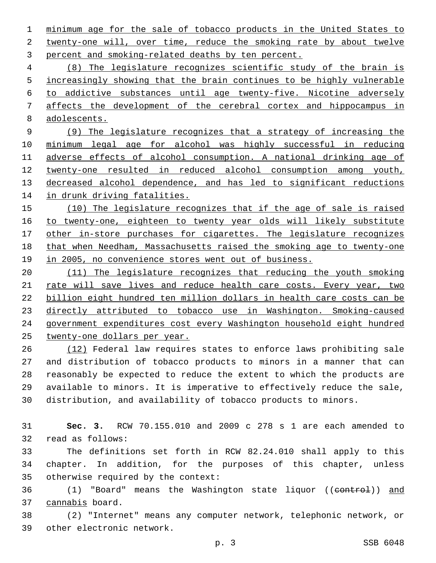minimum age for the sale of tobacco products in the United States to 2 twenty-one will, over time, reduce the smoking rate by about twelve 3 percent and smoking-related deaths by ten percent.

 (8) The legislature recognizes scientific study of the brain is 5 increasingly showing that the brain continues to be highly vulnerable to addictive substances until age twenty-five. Nicotine adversely affects the development of the cerebral cortex and hippocampus in adolescents.

 (9) The legislature recognizes that a strategy of increasing the minimum legal age for alcohol was highly successful in reducing adverse effects of alcohol consumption. A national drinking age of twenty-one resulted in reduced alcohol consumption among youth, decreased alcohol dependence, and has led to significant reductions in drunk driving fatalities.

 (10) The legislature recognizes that if the age of sale is raised to twenty-one, eighteen to twenty year olds will likely substitute 17 other in-store purchases for cigarettes. The legislature recognizes that when Needham, Massachusetts raised the smoking age to twenty-one 19 in 2005, no convenience stores went out of business.

 (11) The legislature recognizes that reducing the youth smoking 21 rate will save lives and reduce health care costs. Every year, two billion eight hundred ten million dollars in health care costs can be directly attributed to tobacco use in Washington. Smoking-caused government expenditures cost every Washington household eight hundred twenty-one dollars per year.

 (12) Federal law requires states to enforce laws prohibiting sale and distribution of tobacco products to minors in a manner that can reasonably be expected to reduce the extent to which the products are available to minors. It is imperative to effectively reduce the sale, distribution, and availability of tobacco products to minors.

 **Sec. 3.** RCW 70.155.010 and 2009 c 278 s 1 are each amended to 32 read as follows:

 The definitions set forth in RCW 82.24.010 shall apply to this chapter. In addition, for the purposes of this chapter, unless 35 otherwise required by the context:

36 (1) "Board" means the Washington state liquor ((control)) and 37 cannabis board.

 (2) "Internet" means any computer network, telephonic network, or 39 other electronic network.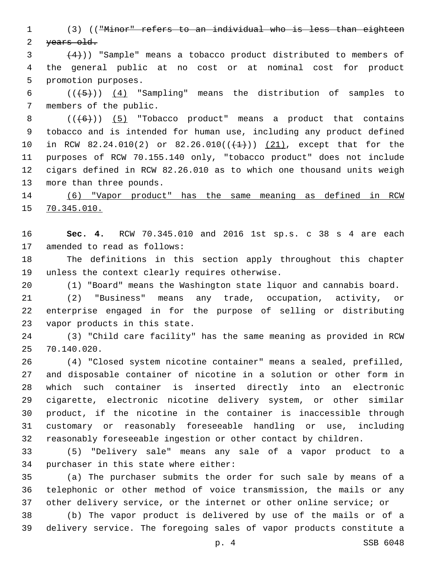(3) (("Minor" refers to an individual who is less than eighteen 2 years old.

 $(4)$ )) "Sample" means a tobacco product distributed to members of the general public at no cost or at nominal cost for product 5 promotion purposes.

6  $((+5))$   $(4)$  "Sampling" means the distribution of samples to 7 members of the public.

 $((+6))$   $(5)$  "Tobacco product" means a product that contains tobacco and is intended for human use, including any product defined 10 in RCW 82.24.010(2) or 82.26.010( $(\frac{1}{1})$ )  $(21)$ , except that for the purposes of RCW 70.155.140 only, "tobacco product" does not include cigars defined in RCW 82.26.010 as to which one thousand units weigh 13 more than three pounds.

 (6) "Vapor product" has the same meaning as defined in RCW 70.345.010.

 **Sec. 4.** RCW 70.345.010 and 2016 1st sp.s. c 38 s 4 are each 17 amended to read as follows:

 The definitions in this section apply throughout this chapter 19 unless the context clearly requires otherwise.

(1) "Board" means the Washington state liquor and cannabis board.

 (2) "Business" means any trade, occupation, activity, or enterprise engaged in for the purpose of selling or distributing 23 vapor products in this state.

 (3) "Child care facility" has the same meaning as provided in RCW 70.140.020.25

 (4) "Closed system nicotine container" means a sealed, prefilled, and disposable container of nicotine in a solution or other form in which such container is inserted directly into an electronic cigarette, electronic nicotine delivery system, or other similar product, if the nicotine in the container is inaccessible through customary or reasonably foreseeable handling or use, including reasonably foreseeable ingestion or other contact by children.

 (5) "Delivery sale" means any sale of a vapor product to a 34 purchaser in this state where either:

 (a) The purchaser submits the order for such sale by means of a telephonic or other method of voice transmission, the mails or any other delivery service, or the internet or other online service; or

 (b) The vapor product is delivered by use of the mails or of a delivery service. The foregoing sales of vapor products constitute a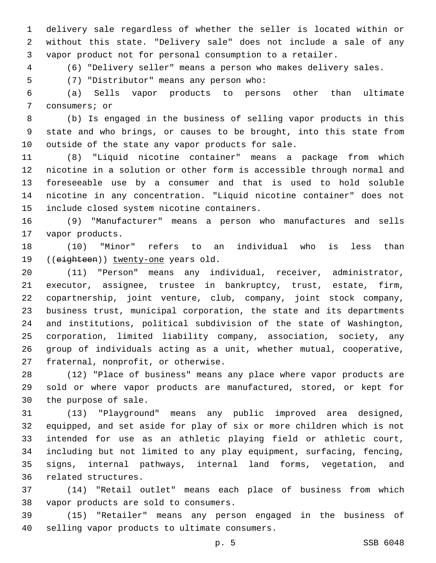delivery sale regardless of whether the seller is located within or without this state. "Delivery sale" does not include a sale of any vapor product not for personal consumption to a retailer.

(6) "Delivery seller" means a person who makes delivery sales.

(7) "Distributor" means any person who:5

 (a) Sells vapor products to persons other than ultimate 7 consumers; or

 (b) Is engaged in the business of selling vapor products in this state and who brings, or causes to be brought, into this state from 10 outside of the state any vapor products for sale.

 (8) "Liquid nicotine container" means a package from which nicotine in a solution or other form is accessible through normal and foreseeable use by a consumer and that is used to hold soluble nicotine in any concentration. "Liquid nicotine container" does not 15 include closed system nicotine containers.

 (9) "Manufacturer" means a person who manufactures and sells 17 vapor products.

 (10) "Minor" refers to an individual who is less than 19 ((eighteen)) twenty-one years old.

 (11) "Person" means any individual, receiver, administrator, executor, assignee, trustee in bankruptcy, trust, estate, firm, copartnership, joint venture, club, company, joint stock company, business trust, municipal corporation, the state and its departments and institutions, political subdivision of the state of Washington, corporation, limited liability company, association, society, any group of individuals acting as a unit, whether mutual, cooperative, 27 fraternal, nonprofit, or otherwise.

 (12) "Place of business" means any place where vapor products are sold or where vapor products are manufactured, stored, or kept for 30 the purpose of sale.

 (13) "Playground" means any public improved area designed, equipped, and set aside for play of six or more children which is not intended for use as an athletic playing field or athletic court, including but not limited to any play equipment, surfacing, fencing, signs, internal pathways, internal land forms, vegetation, and 36 related structures.

 (14) "Retail outlet" means each place of business from which 38 vapor products are sold to consumers.

 (15) "Retailer" means any person engaged in the business of 40 selling vapor products to ultimate consumers.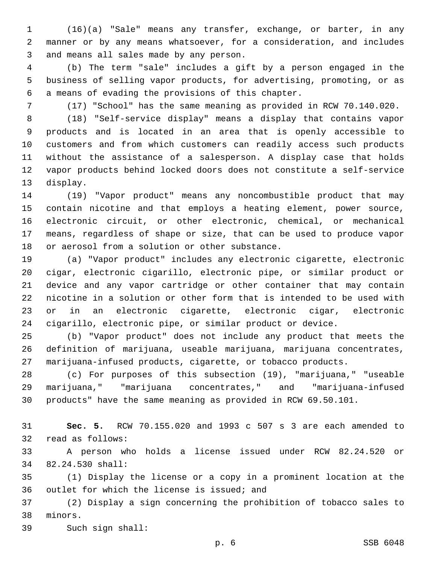(16)(a) "Sale" means any transfer, exchange, or barter, in any manner or by any means whatsoever, for a consideration, and includes 3 and means all sales made by any person.

 (b) The term "sale" includes a gift by a person engaged in the business of selling vapor products, for advertising, promoting, or as 6 a means of evading the provisions of this chapter.

(17) "School" has the same meaning as provided in RCW 70.140.020.

 (18) "Self-service display" means a display that contains vapor products and is located in an area that is openly accessible to customers and from which customers can readily access such products without the assistance of a salesperson. A display case that holds vapor products behind locked doors does not constitute a self-service 13 display.

 (19) "Vapor product" means any noncombustible product that may contain nicotine and that employs a heating element, power source, electronic circuit, or other electronic, chemical, or mechanical means, regardless of shape or size, that can be used to produce vapor 18 or aerosol from a solution or other substance.

 (a) "Vapor product" includes any electronic cigarette, electronic cigar, electronic cigarillo, electronic pipe, or similar product or device and any vapor cartridge or other container that may contain nicotine in a solution or other form that is intended to be used with or in an electronic cigarette, electronic cigar, electronic cigarillo, electronic pipe, or similar product or device.

 (b) "Vapor product" does not include any product that meets the definition of marijuana, useable marijuana, marijuana concentrates, marijuana-infused products, cigarette, or tobacco products.

 (c) For purposes of this subsection (19), "marijuana," "useable marijuana," "marijuana concentrates," and "marijuana-infused products" have the same meaning as provided in RCW 69.50.101.

 **Sec. 5.** RCW 70.155.020 and 1993 c 507 s 3 are each amended to 32 read as follows:

 A person who holds a license issued under RCW 82.24.520 or 82.24.530 shall:34

 (1) Display the license or a copy in a prominent location at the 36 outlet for which the license is issued; and

 (2) Display a sign concerning the prohibition of tobacco sales to 38 minors.

39 Such sign shall: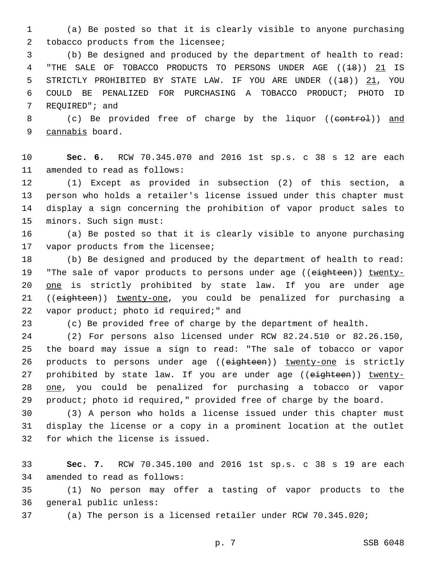1 (a) Be posted so that it is clearly visible to anyone purchasing 2 tobacco products from the licensee;

3 (b) Be designed and produced by the department of health to read: 4 "THE SALE OF TOBACCO PRODUCTS TO PERSONS UNDER AGE ((18)) 21 IS 5 STRICTLY PROHIBITED BY STATE LAW. IF YOU ARE UNDER ((<del>18</del>)) 21, YOU 6 COULD BE PENALIZED FOR PURCHASING A TOBACCO PRODUCT; PHOTO ID 7 REQUIRED"; and

8 (c) Be provided free of charge by the liquor ((control)) and 9 cannabis board.

10 **Sec. 6.** RCW 70.345.070 and 2016 1st sp.s. c 38 s 12 are each 11 amended to read as follows:

 (1) Except as provided in subsection (2) of this section, a person who holds a retailer's license issued under this chapter must display a sign concerning the prohibition of vapor product sales to 15 minors. Such sign must:

16 (a) Be posted so that it is clearly visible to anyone purchasing 17 vapor products from the licensee;

18 (b) Be designed and produced by the department of health to read: 19 "The sale of vapor products to persons under age ((eighteen)) twenty-20 one is strictly prohibited by state law. If you are under age 21 ((eighteen)) twenty-one, you could be penalized for purchasing a 22 vapor product; photo id required;" and

23 (c) Be provided free of charge by the department of health.

24 (2) For persons also licensed under RCW 82.24.510 or 82.26.150, 25 the board may issue a sign to read: "The sale of tobacco or vapor 26 products to persons under age ((eighteen)) twenty-one is strictly 27 prohibited by state law. If you are under age ((eighteen)) twenty-28 one, you could be penalized for purchasing a tobacco or vapor 29 product; photo id required," provided free of charge by the board.

30 (3) A person who holds a license issued under this chapter must 31 display the license or a copy in a prominent location at the outlet 32 for which the license is issued.

33 **Sec. 7.** RCW 70.345.100 and 2016 1st sp.s. c 38 s 19 are each 34 amended to read as follows:

35 (1) No person may offer a tasting of vapor products to the 36 general public unless:

37 (a) The person is a licensed retailer under RCW 70.345.020;

p. 7 SSB 6048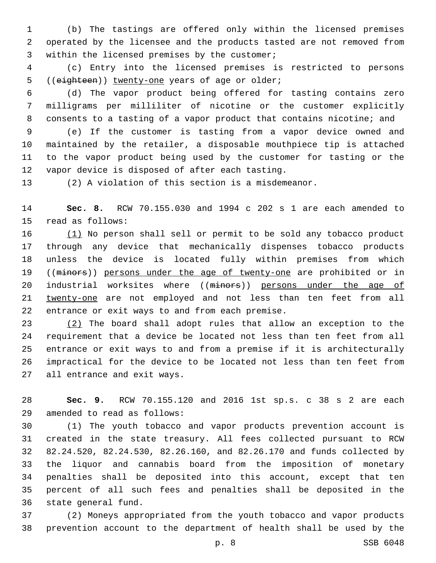(b) The tastings are offered only within the licensed premises operated by the licensee and the products tasted are not removed from 3 within the licensed premises by the customer;

 (c) Entry into the licensed premises is restricted to persons 5 ((eighteen)) twenty-one years of age or older;

 (d) The vapor product being offered for tasting contains zero milligrams per milliliter of nicotine or the customer explicitly consents to a tasting of a vapor product that contains nicotine; and

 (e) If the customer is tasting from a vapor device owned and maintained by the retailer, a disposable mouthpiece tip is attached to the vapor product being used by the customer for tasting or the 12 vapor device is disposed of after each tasting.

(2) A violation of this section is a misdemeanor.

 **Sec. 8.** RCW 70.155.030 and 1994 c 202 s 1 are each amended to 15 read as follows:

 (1) No person shall sell or permit to be sold any tobacco product through any device that mechanically dispenses tobacco products unless the device is located fully within premises from which 19 ((minors)) persons under the age of twenty-one are prohibited or in 20 industrial worksites where ((minors)) persons under the age of twenty-one are not employed and not less than ten feet from all 22 entrance or exit ways to and from each premise.

 (2) The board shall adopt rules that allow an exception to the requirement that a device be located not less than ten feet from all entrance or exit ways to and from a premise if it is architecturally impractical for the device to be located not less than ten feet from 27 all entrance and exit ways.

 **Sec. 9.** RCW 70.155.120 and 2016 1st sp.s. c 38 s 2 are each amended to read as follows:29

 (1) The youth tobacco and vapor products prevention account is created in the state treasury. All fees collected pursuant to RCW 82.24.520, 82.24.530, 82.26.160, and 82.26.170 and funds collected by the liquor and cannabis board from the imposition of monetary penalties shall be deposited into this account, except that ten percent of all such fees and penalties shall be deposited in the 36 state general fund.

 (2) Moneys appropriated from the youth tobacco and vapor products prevention account to the department of health shall be used by the

p. 8 SSB 6048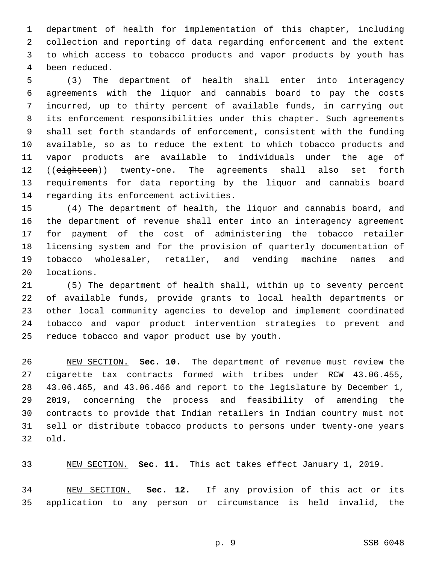department of health for implementation of this chapter, including collection and reporting of data regarding enforcement and the extent to which access to tobacco products and vapor products by youth has been reduced.4

 (3) The department of health shall enter into interagency agreements with the liquor and cannabis board to pay the costs incurred, up to thirty percent of available funds, in carrying out its enforcement responsibilities under this chapter. Such agreements shall set forth standards of enforcement, consistent with the funding available, so as to reduce the extent to which tobacco products and vapor products are available to individuals under the age of 12 ((eighteen)) twenty-one. The agreements shall also set forth requirements for data reporting by the liquor and cannabis board 14 regarding its enforcement activities.

 (4) The department of health, the liquor and cannabis board, and the department of revenue shall enter into an interagency agreement for payment of the cost of administering the tobacco retailer licensing system and for the provision of quarterly documentation of tobacco wholesaler, retailer, and vending machine names and 20 locations.

 (5) The department of health shall, within up to seventy percent of available funds, provide grants to local health departments or other local community agencies to develop and implement coordinated tobacco and vapor product intervention strategies to prevent and 25 reduce tobacco and vapor product use by youth.

 NEW SECTION. **Sec. 10.** The department of revenue must review the cigarette tax contracts formed with tribes under RCW 43.06.455, 43.06.465, and 43.06.466 and report to the legislature by December 1, 2019, concerning the process and feasibility of amending the contracts to provide that Indian retailers in Indian country must not sell or distribute tobacco products to persons under twenty-one years old.

NEW SECTION. **Sec. 11.** This act takes effect January 1, 2019.

 NEW SECTION. **Sec. 12.** If any provision of this act or its application to any person or circumstance is held invalid, the